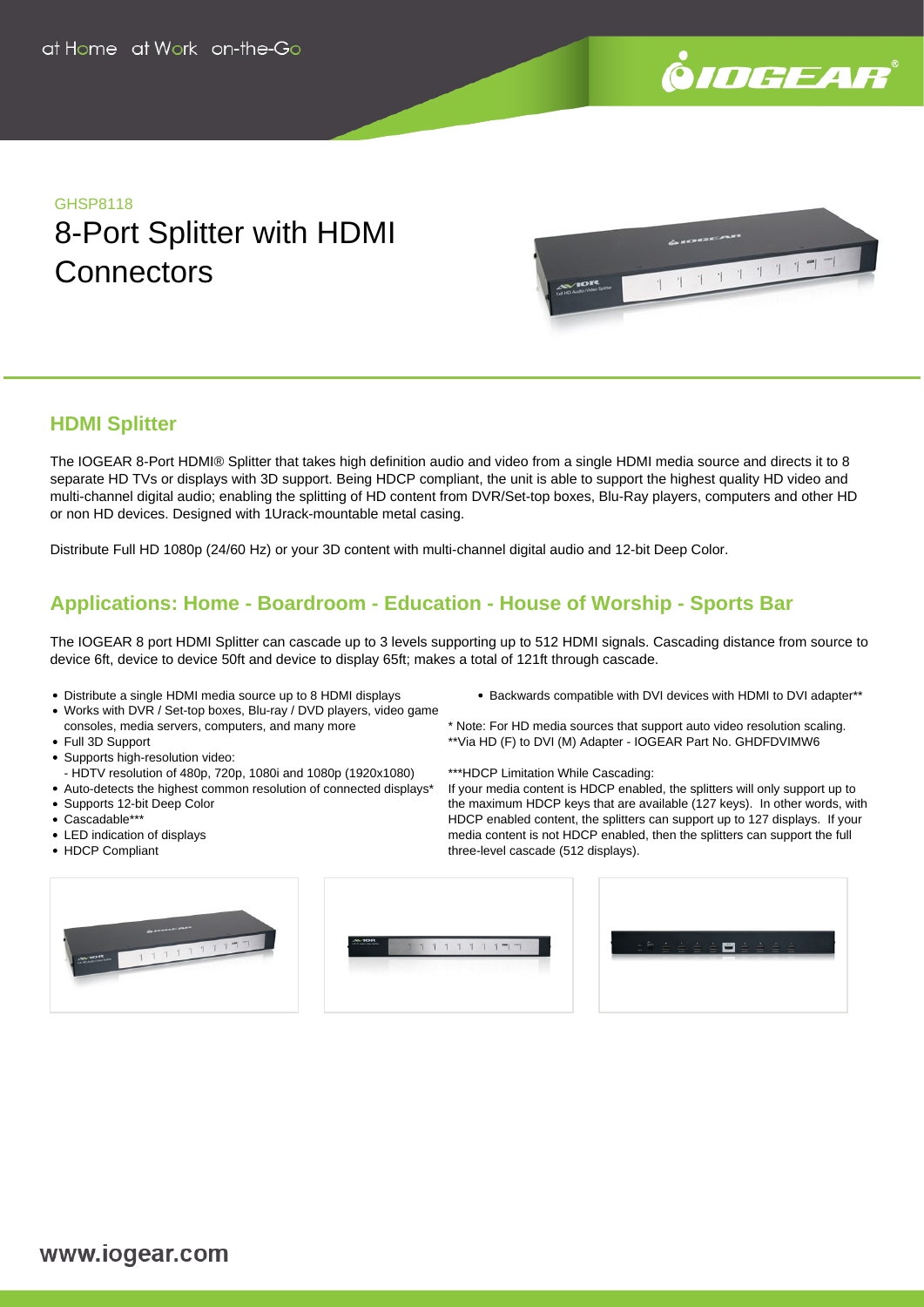

## GHSP8118 8-Port Splitter with HDMI **Connectors**



### **HDMI Splitter**

The IOGEAR 8-Port HDMI® Splitter that takes high definition audio and video from a single HDMI media source and directs it to 8 separate HD TVs or displays with 3D support. Being HDCP compliant, the unit is able to support the highest quality HD video and multi-channel digital audio; enabling the splitting of HD content from DVR/Set-top boxes, Blu-Ray players, computers and other HD or non HD devices. Designed with 1Urack-mountable metal casing.

Distribute Full HD 1080p (24/60 Hz) or your 3D content with multi-channel digital audio and 12-bit Deep Color.

## **Applications: Home - Boardroom - Education - House of Worship - Sports Bar**

The IOGEAR 8 port HDMI Splitter can cascade up to 3 levels supporting up to 512 HDMI signals. Cascading distance from source to device 6ft, device to device 50ft and device to display 65ft; makes a total of 121ft through cascade.

- Distribute a single HDMI media source up to 8 HDMI displays
- Works with DVR / Set-top boxes, Blu-ray / DVD players, video game consoles, media servers, computers, and many more
- Full 3D Support
- Supports high-resolution video:
- HDTV resolution of 480p, 720p, 1080i and 1080p (1920x1080)
- Auto-detects the highest common resolution of connected displays\*
- Supports 12-bit Deep Color
- Cascadable\*\*
- LED indication of displays
- HDCP Compliant
- Backwards compatible with DVI devices with HDMI to DVI adapter\*\*
- \* Note: For HD media sources that support auto video resolution scaling. \*\*Via HD (F) to DVI (M) Adapter - IOGEAR Part No. GHDFDVIMW6
- \*\*\*HDCP Limitation While Cascading:

If your media content is HDCP enabled, the splitters will only support up to the maximum HDCP keys that are available (127 keys). In other words, with HDCP enabled content, the splitters can support up to 127 displays. If your media content is not HDCP enabled, then the splitters can support the full three-level cascade (512 displays).



| $A\& B$ | w  |        |         |                                       |    |                                 |  |  |  |  | $-6 -$ |  |                                                     |   |
|---------|----|--------|---------|---------------------------------------|----|---------------------------------|--|--|--|--|--------|--|-----------------------------------------------------|---|
|         | w. | $-11-$ | $1 - 1$ |                                       | 11 | $\frac{1}{2}$ and $\frac{1}{2}$ |  |  |  |  |        |  | $\stackrel{\cdot}{\equiv} \stackrel{\cdot}{\equiv}$ | ė |
|         |    |        |         | <b>The Committee of the Committee</b> |    |                                 |  |  |  |  |        |  |                                                     |   |